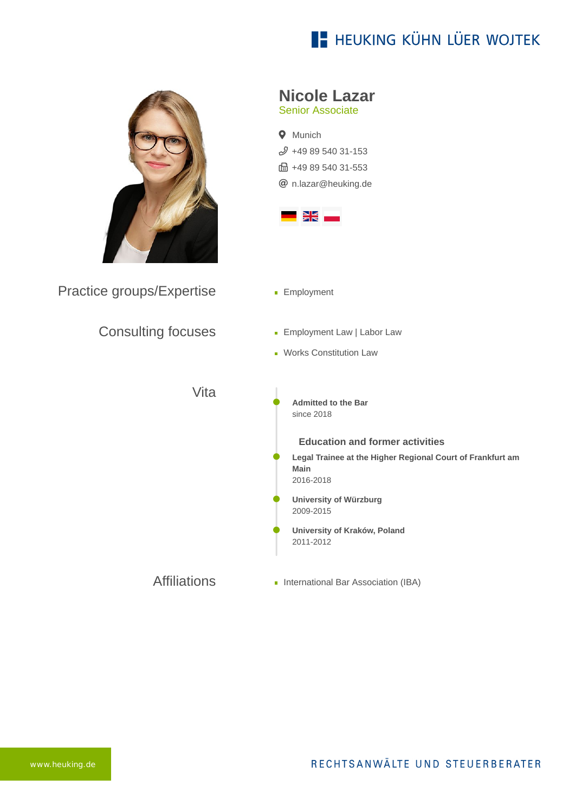# **E- HEUKING KÜHN LÜER WOJTEK**

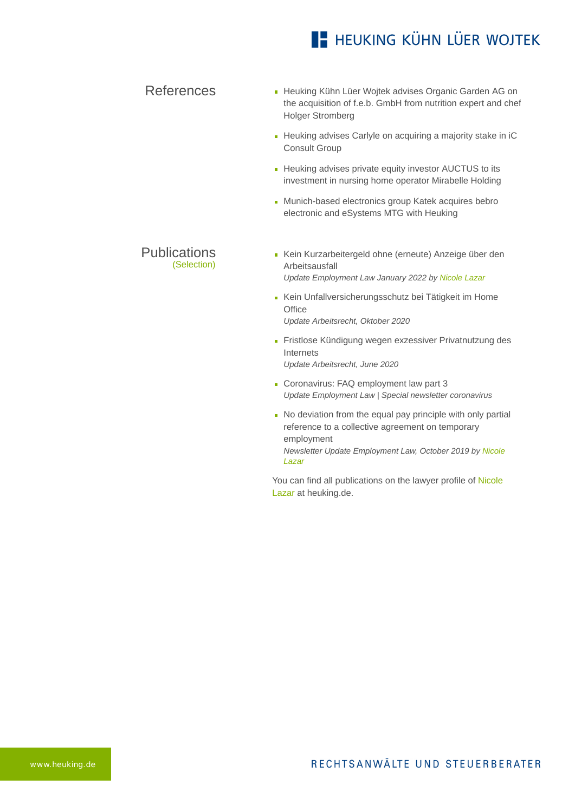### **E- HEUKING KÜHN LÜER WOJTEK**

#### References **Heuking Kühn Lüer Wojtek advises Organic Garden AG on** [the acquisition of f.e.b. GmbH from nutrition expert and chef](https://www.heuking.de/en/lawyers/detail/pdf-download.html?lawyer=1010&cHash=41d41612b2a73b7fc1484f711c0af262) Holger Stromberg

- **[Heuking advises Carlyle on acquiring a majority stake in iC](https://www.heuking.de/en/lawyers/detail/pdf-download.html?lawyer=1010&cHash=41d41612b2a73b7fc1484f711c0af262)** Consult Group
- Heuking advises private equity investor AUCTUS to its [investment in nursing home operator Mirabelle Holding](https://www.heuking.de/en/lawyers/detail/pdf-download.html?lawyer=1010&cHash=41d41612b2a73b7fc1484f711c0af262)
- **[Munich-based electronics group Katek acquires bebro](https://www.heuking.de/en/lawyers/detail/pdf-download.html?lawyer=1010&cHash=41d41612b2a73b7fc1484f711c0af262)** electronic and eSystems MTG with Heuking

### Publications (Selection)

- Kein Kurzarbeitergeld ohne (erneute) Anzeige über den Arbeitsausfall *Update Employment Law January 2022 by Nicole Lazar*
- Kein Unfallversicherungsschutz bei Tätigkeit im Home **Office** *Update Arbeitsrecht, Oktober 2020*
- **Fristlose Kündigung wegen exzessiver Privatnutzung des** Internets *Update Arbeitsrecht, June 2020*
- Coronavirus: FAQ employment law part 3 *Update Employment Law | Special newsletter coronavirus*
- No deviation from the equal pay principle with only partial reference to a collective agreement on temporary employment *Newsletter Update Employment Law, October 2019 by Nicole Lazar*

[You can find all publications on the lawyer profile of Nicole](https://www.heuking.de/en/lawyers/detail/nicole-lazar.html) Lazar at heuking.de.